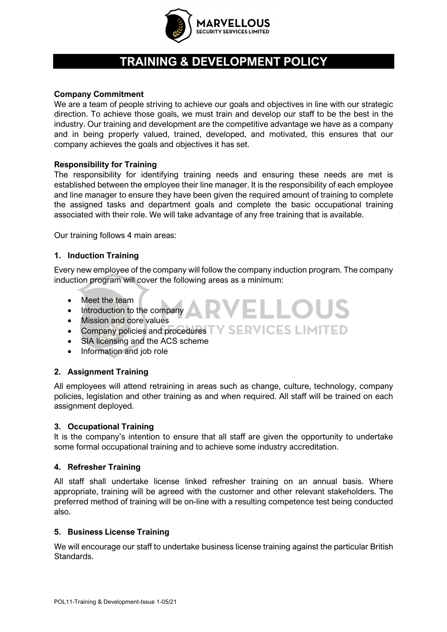

# **TRAINING & DEVELOPMENT POLICY**

#### **Company Commitment**

We are a team of people striving to achieve our goals and objectives in line with our strategic direction. To achieve those goals, we must train and develop our staff to be the best in the industry. Our training and development are the competitive advantage we have as a company and in being properly valued, trained, developed, and motivated, this ensures that our company achieves the goals and objectives it has set.

## **Responsibility for Training**

The responsibility for identifying training needs and ensuring these needs are met is established between the employee their line manager. It is the responsibility of each employee and line manager to ensure they have been given the required amount of training to complete the assigned tasks and department goals and complete the basic occupational training associated with their role. We will take advantage of any free training that is available.

Our training follows 4 main areas:

## **1. Induction Training**

Every new employee of the company will follow the company induction program. The company induction program will cover the following areas as a minimum:

VELLOUS

- Meet the team
- Introduction to the company
- Mission and core values
- Company policies and procedures TY SERVICES LIMITED
- SIA licensing and the ACS scheme
- Information and job role

## **2. Assignment Training**

All employees will attend retraining in areas such as change, culture, technology, company policies, legislation and other training as and when required. All staff will be trained on each assignment deployed.

#### **3. Occupational Training**

It is the company's intention to ensure that all staff are given the opportunity to undertake some formal occupational training and to achieve some industry accreditation.

## **4. Refresher Training**

All staff shall undertake license linked refresher training on an annual basis. Where appropriate, training will be agreed with the customer and other relevant stakeholders. The preferred method of training will be on-line with a resulting competence test being conducted also.

#### **5. Business License Training**

We will encourage our staff to undertake business license training against the particular British Standards.